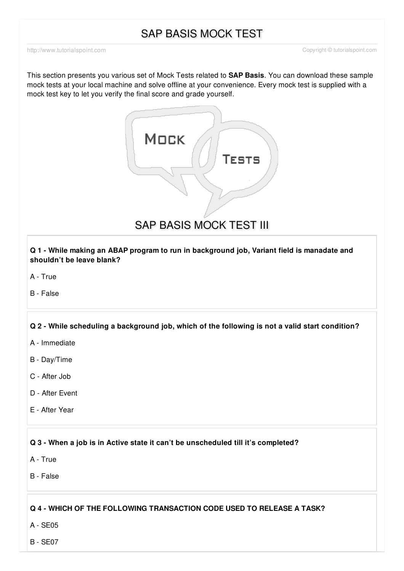# SAP BASIS MOCK TEST

This section presents you various set of Mock Tests related to **SAP Basis**. You can download these sample mock tests at your local machine and solve offline at your convenience. Every mock test is supplied with a mock test key to let you verify the final score and grade yourself.



SAP BASIS MOCK TEST III

**Q 1 - While making an ABAP program to run in background job, Variant field is manadate and shouldn't be leave blank?**

A - [True](javascript:void(0);)

B - [False](javascript:void(0);)

# **Q 2 - While scheduling a background job, which of the following is not a valid start condition?**

- A [Immediate](javascript:void(0);)
- B [Day/Time](javascript:void(0);)
- C [After](javascript:void(0);) Job
- D After [Event](javascript:void(0);)
- E [After](javascript:void(0);) Year

# **Q 3 - When a job is in Active state it can't be unscheduled till it's completed?**

- A [True](javascript:void(0);)
- B [False](javascript:void(0);)

# **Q 4 - WHICH OF THE FOLLOWING TRANSACTION CODE USED TO RELEASE A TASK?**

A - [SE05](javascript:void(0);)

B - [SE07](javascript:void(0);)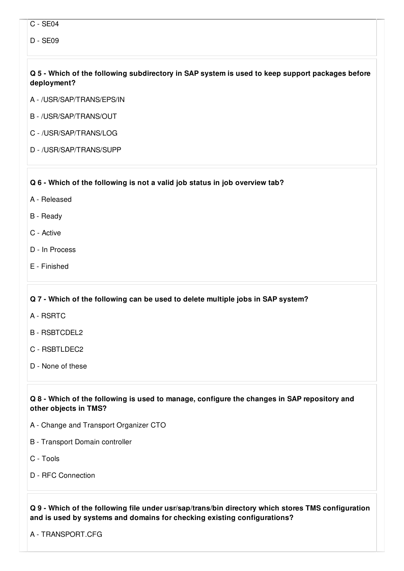- C [SE04](javascript:void(0);)
- D [SE09](javascript:void(0);)

# **Q 5 - Which of the following subdirectory in SAP system is used to keep support packages before deployment?**

- A [/USR/SAP/TRANS/EPS/IN](javascript:void(0);)
- B [/USR/SAP/TRANS/OUT](javascript:void(0);)
- C [/USR/SAP/TRANS/LOG](javascript:void(0);)
- D [/USR/SAP/TRANS/SUPP](javascript:void(0);)

#### **Q 6 - Which of the following is not a valid job status in job overview tab?**

- A [Released](javascript:void(0);)
- B [Ready](javascript:void(0);)
- C [Active](javascript:void(0);)
- D In [Process](javascript:void(0);)
- E [Finished](javascript:void(0);)

# **Q 7 - Which of the following can be used to delete multiple jobs in SAP system?**

- A [RSRTC](javascript:void(0);)
- B [RSBTCDEL2](javascript:void(0);)
- C [RSBTLDEC2](javascript:void(0);)
- D None of [these](javascript:void(0);)

# **Q 8 - Which of the following is used to manage, configure the changes in SAP repository and other objects in TMS?**

- A Change and Transport [Organizer](javascript:void(0);) CTO
- B [Transport](javascript:void(0);) Domain controller
- C [Tools](javascript:void(0);)
- D RFC [Connection](javascript:void(0);)

# **Q 9 - Which of the following file under usr/sap/trans/bin directory which stores TMS configuration and is used by systems and domains for checking existing configurations?**

A - [TRANSPORT.CFG](javascript:void(0);)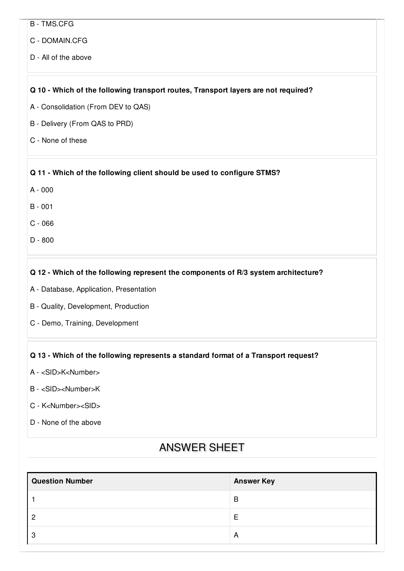- B [TMS.CFG](javascript:void(0);)
- C [DOMAIN.CFG](javascript:void(0);)
- D All of the [above](javascript:void(0);)

#### **Q 10 - Which of the following transport routes, Transport layers are not required?**

- A [Consolidation](javascript:void(0);) (From DEV to QAS)
- B [Delivery](javascript:void(0);) (From QAS to PRD)
- C None of [these](javascript:void(0);)

#### **Q 11 - Which of the following client should be used to configure STMS?**

- A [000](javascript:void(0);)
- B [001](javascript:void(0);)
- C [066](javascript:void(0);)
- D [800](javascript:void(0);)

# **Q 12 - Which of the following represent the components of R/3 system architecture?**

- A Database, Application, [Presentation](javascript:void(0);)
- B Quality, [Development,](javascript:void(0);) Production
- C Demo, Training, [Development](javascript:void(0);)

# **Q 13 - Which of the following represents a standard format of a Transport request?**

- A [<SID>K<Number>](javascript:void(0);)
- B [<SID><Number>K](javascript:void(0);)
- C [K<Number><SID>](javascript:void(0);)
- D None of the [above](javascript:void(0);)

# ANSWER SHEET

| <b>Question Number</b> | <b>Answer Key</b> |
|------------------------|-------------------|
|                        | B                 |
| ာ                      |                   |
| ാ                      | A                 |